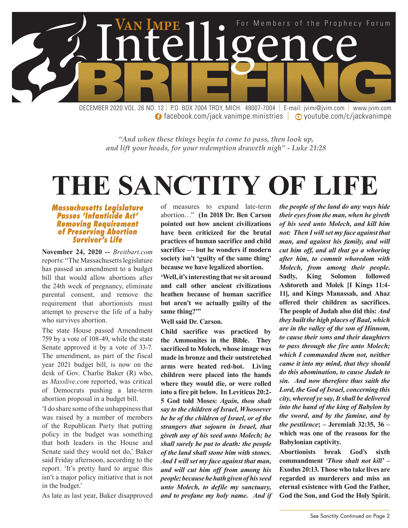

**facebook.com/jack.vanimpe.ministries | © youtube.com/c/jackvanimpe** 

*"And when these things begin to come to pass, then look up, and lift your heads, for your redemption draweth nigh" - Luke 21:28*

# **THE SANCTITY OF LIFE**

*Massachusetts Legislature Passes 'Infanticide Act' Removing Requirement of Preserving Abortion Survivor's Life*

**November 24, 2020 --** *Breitbart.com* reports: "The Massachusetts legislature has passed an amendment to a budget bill that would allow abortions after the 24th week of pregnancy, eliminate parental consent, and remove the requirement that abortionists must attempt to preserve the life of a baby who survives abortion.

The state House passed Amendment 759 by a vote of 108-49, while the state Senate approved it by a vote of 33-7. The amendment, as part of the fiscal year 2021 budget bill, is now on the desk of Gov. Charlie Baker (R) who, as *Masslive.com* reported, was critical of Democrats pushing a late-term abortion proposal in a budget bill.

'I do share some of the unhappiness that was raised by a number of members of the Republican Party that putting policy in the budget was something that both leaders in the House and Senate said they would not do,' Baker said Friday afternoon, according to the report. 'It's pretty hard to argue this isn't a major policy initiative that is not in the budget.'

As late as last year, Baker disapproved

of measures to expand late-term abortion…" **(In 2018 Dr. Ben Carson pointed out how ancient civilizations have been criticized for the brutal practices of human sacrifice and child sacrifice — but he wonders if modern society isn't 'guilty of the same thing' because we have legalized abortion.**

**'Well, it's interesting that we sit around and call other ancient civilizations heathen because of human sacrifice but aren't we actually guilty of the same thing?'"**

**Well said Dr. Carson.**

**Child sacrifice was practiced by the Ammonites in the Bible. They sacrificed to Molech, whose image was made in bronze and their outstretched arms were heated red-hot. Living children were placed into the hands where they would die, or were rolled into a fire pit below. In Leviticus 20:2- 5 God told Moses:** *Again, thou shalt say to the children of Israel, Whosoever he be of the children of Israel, or of the strangers that sojourn in Israel, that giveth any of his seed unto Molech; he shall surely be put to death: the people of the land shall stone him with stones. And I will set my face against that man, and will cut him off from among his people; because he hath given of his seed unto Molech, to defile my sanctuary, and to profane my holy name. And if*  *the people of the land do any ways hide their eyes from the man, when he giveth of his seed unto Molech, and kill him not: Then I will set my face against that man, and against his family, and will cut him off, and all that go a whoring after him, to commit whoredom with Molech, from among their people***. Sadly, King Solomon followed Ashtoreth and Molek [I Kings 11:4- 11], and Kings Manassah, and Ahaz offered their children as sacrifices. The people of Judah also did this:** *And they built the high places of Baal, which are in the valley of the son of Hinnom, to cause their sons and their daughters to pass through the fire unto Molech; which I commanded them not, neither came it into my mind, that they should do this abomination, to cause Judah to sin. And now therefore thus saith the Lord, the God of Israel, concerning this city, whereof ye say, It shall be delivered into the hand of the king of Babylon by the sword, and by the famine, and by the pestilence***; – Jeremiah 32:35, 36 – which was one of the reasons for the Babylonian captivity.**

**Abortionists break God's sixth commandment** *'Thou shalt not kill'* **– Exodus 20:13. Those who take lives are regarded as murderers and miss an eternal existence with God the Father, God the Son, and God the Holy Spirit.**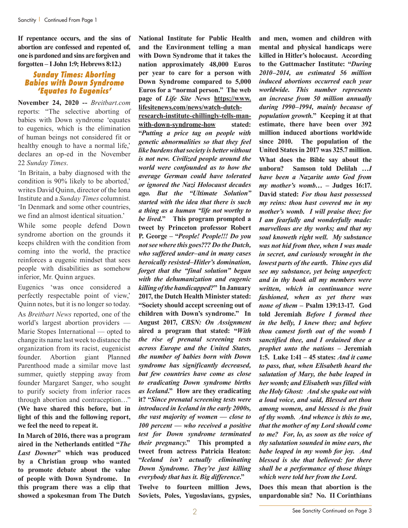**If repentance occurs, and the sins of abortion are confessed and repented of, one is pardoned and sins are forgiven and forgotten – I John 1:9; Hebrews 8:12.)**

#### *Sunday Times: Aborting Babies with Down Syndrome 'Equates to Eugenics'*

**November 24, 2020 --** *Breitbart.com* reports: "The selective aborting of babies with Down syndrome 'equates to eugenics, which is the elimination of human beings not considered fit or healthy enough to have a normal life,' declares an op-ed in the November 22 *Sunday Times*.

'In Britain, a baby diagnosed with the condition is 90% likely to be aborted,' writes David Quinn, director of the Iona Institute and a *Sunday Times* columnist. 'In Denmark and some other countries, we find an almost identical situation.'

While some people defend Down syndrome abortion on the grounds it keeps children with the condition from coming into the world, the practice reinforces a eugenic mindset that sees people with disabilities as somehow inferior, Mr. Quinn argues.

Eugenics 'was once considered a perfectly respectable point of view,' Quinn notes, but it is no longer so today. As *Breitbart News* reported, one of the world's largest abortion providers — Marie Stopes International — opted to change its name last week to distance the organization from its racist, eugenicist founder. Abortion giant Planned Parenthood made a similar move last summer, quietly stepping away from founder Margaret Sanger, who sought to purify society from inferior races through abortion and contraception…" **(We have shared this before, but in light of this and the following report, we feel the need to repeat it.**

**In March of 2016, there was a program aired in the Netherlands entitled "***The Last Downer***" which was produced by a Christian group who wanted to promote debate about the value of people with Down Syndrome. In this program there was a clip that showed a spokesman from The Dutch** 

**National Institute for Public Health and the Environment telling a man with Down Syndrome that it takes the nation approximately 48,000 Euros per year to care for a person with Down Syndrome compared to 5,000 Euros for a "normal person." The web page of** *Life Site News* **https://www. lifesitenews.com/news/watch-dutch-**

**research-institute-chillingly-tells-manwith-down-syndrome-how stated: "***Putting a price tag on people with genetic abnormalities so that they feel like burdens that society is better without is not new. Civilized people around the world were confounded as to how the average German could have tolerated or ignored the Nazi Holocaust decades ago. But the "Ultimate Solution" started with the idea that there is such a thing as a human "life not worthy to be lived.***" This program prompted a tweet by Princeton professor Robert P. George – "***People! People!!! Do you not see where this goes??? Do the Dutch, who suffered under–and in many cases heroically resisted–Hitler's domination, forget that the "final solution" began with the dehumanization and eugenic killing of the handicapped?***" In January 2017, the Dutch Health Minister stated: "Society should accept screening out of children with Down's syndrome." In August 2017,** *CBSN: On Assignment* **aired a program that stated: "***With the rise of prenatal screening tests across Europe and the United States, the number of babies born with Down syndrome has significantly decreased, but few countries have come as close to eradicating Down syndrome births as Iceland***." How are they eradicating it? "***Since prenatal screening tests were introduced in Iceland in the early 2000s, the vast majority of women — close to 100 percent — who received a positive test for Down syndrome terminated their pregnancy***." This prompted a tweet from actress Patricia Heaton: "***Iceland isn't actually eliminating Down Syndrome. They're just killing everybody that has it. Big difference***."**

**Twelve to fourteen million Jews, Soviets, Poles, Yugoslavians, gypsies,** 

**and men, women and children with mental and physical handicaps were killed in Hitler's holocaust. According to the Guttmacher Institute: "***During 2010–2014, an estimated 56 million induced abortions occurred each year worldwide. This number represents an increase from 50 million annually during 1990–1994, mainly because of population growth.***" Keeping it at that estimate, there have been over 392 million induced abortions worldwide since 2010. The population of the United States in 2017 was 325.7 million. What does the Bible say about the unborn? Samson told Delilah …***I have been a Nazarite unto God from my mother's womb…* **– Judges 16:17. David stated:** *For thou hast possessed my reins: thou hast covered me in my mother's womb. I will praise thee; for I am fearfully and wonderfully made: marvellous are thy works; and that my soul knoweth right well. My substance was not hid from thee, when I was made in secret, and curiously wrought in the lowest parts of the earth. Thine eyes did see my substance, yet being unperfect; and in thy book all my members were written, which in continuance were fashioned, when as yet there was none of them* **– Psalm 139:13-17. God told Jeremiah** *Before I formed thee in the belly, I knew thee; and before thou camest forth out of the womb I sanctified thee, and I ordained thee a prophet unto the nations* **– Jeremiah 1:5. Luke 1:41 – 45 states:** *And it came to pass, that, when Elisabeth heard the salutation of Mary, the babe leaped in her womb; and Elisabeth was filled with the Holy Ghost: And she spake out with a loud voice, and said, Blessed art thou among women, and blessed is the fruit of thy womb. And whence is this to me, that the mother of my Lord should come to me? For, lo, as soon as the voice of thy salutation sounded in mine ears, the babe leaped in my womb for joy. And blessed is she that believed: for there shall be a performance of those things which were told her from the Lord***.**

**Does this mean that abortion is the unpardonable sin? No. II Corinthians**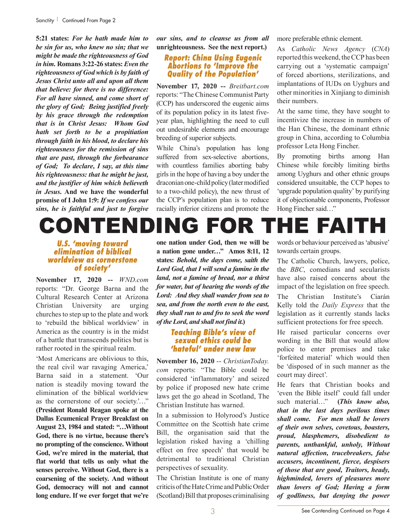**5:21 states:** *For he hath made him to be sin for us, who knew no sin; that we might be made the righteousness of God in him.* **Romans 3:22-26 states:** *Even the righteousness of God which is by faith of Jesus Christ unto all and upon all them that believe: for there is no difference: For all have sinned, and come short of the glory of God; Being justified freely by his grace through the redemption that is in Christ Jesus: Whom God hath set forth to be a propitiation through faith in his blood, to declare his righteousness for the remission of sins that are past, through the forbearance of God; To declare, I say, at this time his righteousness: that he might be just, and the justifier of him which believeth in Jesus***. And we have the wonderful promise of I John 1:9:** *If we confess our sins, he is faithful and just to forgive* 

*our sins, and to cleanse us from all*  **unrighteousness. See the next report.)**

#### *Report: China Using Eugenic Abortions to 'Improve the Quality of the Population'*

**November 17, 2020 --** *Breitbart.com* reports: "The Chinese Communist Party (CCP) has underscored the eugenic aims of its population policy in its latest fiveyear plan, highlighting the need to cull out undesirable elements and encourage breeding of superior subjects.

While China's population has long suffered from sex-selective abortions, with countless families aborting baby girls in the hope of having a boy under the draconian one-child policy (later modified to a two-child policy), the new thrust of the CCP's population plan is to reduce racially inferior citizens and promote the

more preferable ethnic element.

As *Catholic News Agency* (*CNA*) reported this weekend, the CCP has been carrying out a 'systematic campaign' of forced abortions, sterilizations, and implantations of IUDs on Uyghurs and other minorities in Xinjiang to diminish their numbers.

At the same time, they have sought to incentivize the increase in numbers of the Han Chinese, the dominant ethnic group in China, according to Columbia professor Leta Hong Fincher.

By promoting births among Han Chinese while forcibly limiting births among Uyghurs and other ethnic groups considered unsuitable, the CCP hopes to 'upgrade population quality' by purifying it of objectionable components, Professor Hong Fincher said…"

### CONTENDING FOR THE FAITH

#### *U.S. 'moving toward elimination of biblical worldview as cornerstone of society'*

**November 17, 2020 --** *WND.com* reports: "Dr. George Barna and the Cultural Research Center at Arizona Christian University are urging churches to step up to the plate and work to 'rebuild the biblical worldview' in America as the country is in the midst of a battle that transcends politics but is rather rooted in the spiritual realm.

'Most Americans are oblivious to this, the real civil war ravaging America,' Barna said in a statement. 'Our nation is steadily moving toward the elimination of the biblical worldview as the cornerstone of our society..." **(President Ronald Reagan spoke at the Dallas Ecumenical Prayer Breakfast on August 23, 1984 and stated: "…Without God, there is no virtue, because there's no prompting of the conscience. Without God, we're mired in the material, that flat world that tells us only what the senses perceive. Without God, there is a coarsening of the society. And without God, democracy will not and cannot long endure. If we ever forget that we're** 

**one nation under God, then we will be a nation gone under…" Amos 8:11, 12 states:** *Behold, the days come, saith the Lord God, that I will send a famine in the land, not a famine of bread, nor a thirst for water, but of hearing the words of the Lord: And they shall wander from sea to sea, and from the north even to the east, they shall run to and fro to seek the word of the Lord, and shall not find it.***)**

#### *Teaching Bible's view of sexual ethics could be 'hateful' under new law*

**November 16, 2020** -- *ChristianToday. com* reports: "The Bible could be considered 'inflammatory' and seized by police if proposed new hate crime laws get the go ahead in Scotland, The Christian Institute has warned.

In a submission to Holyrood's Justice Committee on the Scottish hate crime Bill, the organisation said that the legislation risked having a 'chilling effect on free speech' that would be detrimental to traditional Christian perspectives of sexuality.

The Christian Institute is one of many criticis of the Hate Crime and Public Order (Scotland) Bill that proposes criminalising

words or behaviour perceived as 'abusive' towards certain groups.

The Catholic Church, lawyers, police, the *BBC*, comedians and secularists have also raised concerns about the impact of the legislation on free speech. The Christian Institute's Ciarán

Kelly told the *Daily Express* that the legislation as it currently stands lacks sufficient protections for free speech.

He raised particular concerns over wording in the Bill that would allow police to enter premises and take 'forfeited material' which would then be 'disposed of in such manner as the court may direct'.

He fears that Christian books and 'even the Bible itself' could fall under such material…" **(***This know also, that in the last days perilous times shall come. For men shall be lovers of their own selves, covetous, boasters, proud, blasphemers, disobedient to parents, unthankful, unholy, Without natural affection, trucebreakers, false accusers, incontinent, fierce, despisers of those that are good, Traitors, heady, highminded, lovers of pleasures more than lovers of God; Having a form of godliness, but denying the power*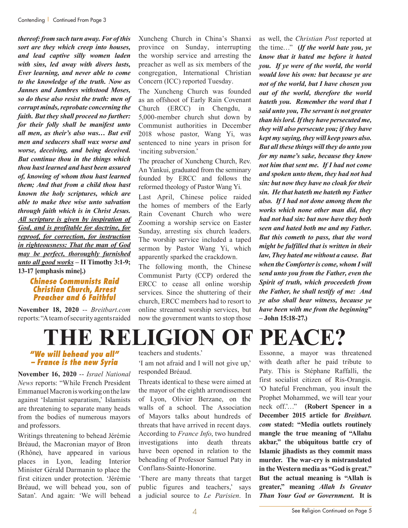*thereof: from such turn away. For of this sort are they which creep into houses, and lead captive silly women laden with sins, led away with divers lusts, Ever learning, and never able to come to the knowledge of the truth. Now as Jannes and Jambres withstood Moses, so do these also resist the truth: men of corrupt minds, reprobate concerning the faith. But they shall proceed no further: for their folly shall be manifest unto all men, as their's also was***…** *But evil men and seducers shall wax worse and worse, deceiving, and being deceived. But continue thou in the things which thou hast learned and hast been assured of, knowing of whom thou hast learned them; And that from a child thou hast known the holy scriptures, which are able to make thee wise unto salvation through faith which is in Christ Jesus. All scripture is given by inspiration of God, and is profitable for doctrine, for reproof, for correction, for instruction in righteousness: That the man of God may be perfect, thoroughly furnished unto all good works* **– II Timothy 3:1-9; 13-17 [emphasis mine].)**

#### *Chinese Communists Raid Christian Church, Arrest Preacher and 6 Faithful*

**November 18, 2020** -- *Breitbart.com* reports: "A team of security agents raided Xuncheng Church in China's Shanxi province on Sunday, interrupting the worship service and arresting the preacher as well as six members of the congregation, International Christian Concern (ICC) reported Tuesday.

The Xuncheng Church was founded as an offshoot of Early Rain Covenant Church (ERCC) in Chengdu, a 5,000-member church shut down by Communist authorities in December 2018 whose pastor, Wang Yi, was sentenced to nine years in prison for 'inciting subversion.'

The preacher of Xuncheng Church, Rev. An Yankui, graduated from the seminary founded by ERCC and follows the reformed theology of Pastor Wang Yi.

Last April, Chinese police raided the homes of members of the Early Rain Covenant Church who were Zooming a worship service on Easter Sunday, arresting six church leaders. The worship service included a taped sermon by Pastor Wang Yi, which apparently sparked the crackdown.

The following month, the Chinese Communist Party (CCP) ordered the ERCC to cease all online worship services. Since the shuttering of their church, ERCC members had to resort to online streamed worship services, but now the government wants to stop those

as well, the *Christian Post* reported at the time…" **(***If the world hate you, ye know that it hated me before it hated you. If ye were of the world, the world would love his own: but because ye are not of the world, but I have chosen you out of the world, therefore the world hateth you. Remember the word that I said unto you, The servant is not greater than his lord. If they have persecuted me, they will also persecute you; if they have kept my saying, they will keep yours also. But all these things will they do unto you for my name's sake, because they know not him that sent me. If I had not come and spoken unto them, they had not had sin: but now they have no cloak for their sin. He that hateth me hateth my Father also. If I had not done among them the works which none other man did, they had not had sin: but now have they both seen and hated both me and my Father. But this cometh to pass, that the word might be fulfilled that is written in their law, They hated me without a cause. But when the Comforter is come, whom I will send unto you from the Father, even the Spirit of truth, which proceedeth from the Father, he shall testify of me: And ye also shall bear witness, because ye have been with me from the beginning***" – John 15:18-27.)**

## **THE RELIGION OF PEACE?**

#### *"We will behead you all" – France is the new Syria*

**November 16, 2020** -- *Israel National News* reports: "While French President Emmanuel Macron is working on the law against 'Islamist separatism,' Islamists are threatening to separate many heads from the bodies of numerous mayors and professors.

Writings threatening to behead Jérémie Bréaud, the Macronian mayor of Bron (Rhône), have appeared in various places in Lyon, leading Interior Minister Gérald Darmanin to place the first citizen under protection. 'Jérémie Bréaud, we will behead you, son of Satan'. And again: 'We will behead

teachers and students.'

'I am not afraid and I will not give up,' responded Bréaud.

Threats identical to these were aimed at the mayor of the eighth arrondissement of Lyon, Olivier Berzane, on the walls of a school. The Association of Mayors talks about hundreds of threats that have arrived in recent days. According to *France Info*, two hundred investigations into death threats have been opened in relation to the beheading of Professor Samuel Paty in Conflans-Sainte-Honorine.

'There are many threats that target public figures and teachers,' says a judicial source to *Le Parisien*. In

Essonne, a mayor was threatened with death after he paid tribute to Paty. This is Stéphane Raffalli, the first socialist citizen of Ris-Orangis. 'O hateful Frenchman, you insult the Prophet Mohammed, we will tear your neck off.'…" **(Robert Spencer in a December 2015 article for** *Breitbart. com* **stated: "Media outlets routinely mangle the true meaning of "Allahu akbar," the ubiquitous battle cry of Islamic jihadists as they commit mass murder. The war-cry is mistranslated in the Western media as "God is great." But the actual meaning is "Allah is greater," meaning** *Allah Is Greater Than Your God or Government***. It is**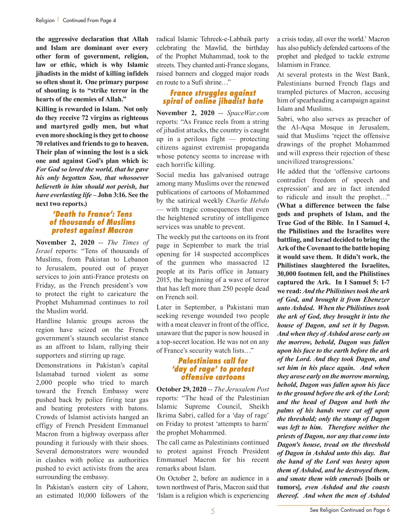**the aggressive declaration that Allah and Islam are dominant over every other form of government, religion, law or ethic, which is why Islamic jihadists in the midst of killing infidels so often shout it. One primary purpose of shouting is to "strike terror in the hearts of the enemies of Allah."**

**Killing is rewarded in Islam. Not only do they receive 72 virgins as righteous and martyred godly men, but what even more shocking is they get to choose 70 relatives and friends to go to heaven. Their plan of winning the lost is a sick one and against God's plan which is:**  *For God so loved the world, that he gave his only begotten Son, that whosoever believeth in him should not perish, but have everlasting life* **– John 3:16. See the next two reports.)**

#### *'Death to France': Tens of thousands of Muslims protest against Macron*

**November 2, 2020** -- *The Times of Israel* reports: "Tens of thousands of Muslims, from Pakistan to Lebanon to Jerusalem, poured out of prayer services to join anti-France protests on Friday, as the French president's vow to protect the right to caricature the Prophet Muhammad continues to roil the Muslim world.

Hardline Islamic groups across the region have seized on the French government's staunch secularist stance as an affront to Islam, rallying their supporters and stirring up rage.

Demonstrations in Pakistan's capital Islamabad turned violent as some 2,000 people who tried to march toward the French Embassy were pushed back by police firing tear gas and beating protesters with batons. Crowds of Islamist activists hanged an effigy of French President Emmanuel Macron from a highway overpass after pounding it furiously with their shoes. Several demonstrators were wounded in clashes with police as authorities pushed to evict activists from the area surrounding the embassy.

In Pakistan's eastern city of Lahore, an estimated 10,000 followers of the radical Islamic Tehreek-e-Labbaik party celebrating the Mawlid, the birthday of the Prophet Muhammad, took to the streets. They chanted anti-France slogans, raised banners and clogged major roads en route to a Sufi shrine…"

#### *France struggles against spiral of online jihadist hate*

**November 2, 2020** -- *SpaceWar.com* reports: "As France reels from a string of jihadist attacks, the country is caught up in a perilous fight  $-$  protecting citizens against extremist propaganda whose potency seems to increase with each horrific killing.

Social media has galvanised outrage among many Muslims over the renewed publications of cartoons of Mohammed by the satirical weekly *Charlie Hebdo* — with tragic consequences that even the heightened scrutiny of intelligence services was unable to prevent.

The weekly put the cartoons on its front page in September to mark the trial opening for 14 suspected accomplices of the gunmen who massacred 12 people at its Paris office in January 2015, the beginning of a wave of terror that has left more than 250 people dead on French soil.

Later in September, a Pakistani man seeking revenge wounded two people with a meat cleaver in front of the office. unaware that the paper is now housed in a top-secret location. He was not on any of France's security watch lists…"

#### *Palestinians call for 'day of rage' to protest offensive cartoons*

**October 29, 2020** -- *The Jerusalem Post* reports: "The head of the Palestinian Islamic Supreme Council, Sheikh Ikrima Sabri, called for a 'day of rage' on Friday to protest 'attempts to harm' the prophet Mohammed.

The call came as Palestinians continued to protest against French President Emmanuel Macron for his recent remarks about Islam.

On October 2, before an audience in a town northwest of Paris, Macron said that 'Islam is a religion which is experiencing

a crisis today, all over the world.' Macron has also publicly defended cartoons of the prophet and pledged to tackle extreme Islamism in France.

At several protests in the West Bank, Palestinians burned French flags and trampled pictures of Macron, accusing him of spearheading a campaign against Islam and Muslims.

Sabri, who also serves as preacher of the Al-Aqsa Mosque in Jerusalem, said that Muslims 'reject the offensive drawings of the prophet Mohammed and will express their rejection of these uncivilized transgressions.'

He added that the 'offensive cartoons contradict freedom of speech and expression' and are in fact intended to ridicule and insult the prophet…" **(What a difference between the false gods and prophets of Islam, and the True God of the Bible. In I Samuel 4, the Philistines and the Israelites were battling, and Israel decided to bring the Ark of the Covenant to the battle hoping it would save them. It didn't work, the Philistines slaughtered the Israelites, 30,000 footmen fell, and the Philistines captured the Ark. In I Samuel 5: 1-7 we read:** *And the Philistines took the ark of God, and brought it from Ebenezer unto Ashdod. When the Philistines took the ark of God, they brought it into the house of Dagon, and set it by Dagon. And when they of Ashdod arose early on the morrow, behold, Dagon was fallen upon his face to the earth before the ark of the Lord. And they took Dagon, and set him in his place again. And when they arose early on the morrow morning, behold, Dagon was fallen upon his face to the ground before the ark of the Lord; and the head of Dagon and both the palms of his hands were cut off upon the threshold; only the stump of Dagon was left to him. Therefore neither the priests of Dagon, nor any that come into Dagon's house, tread on the threshold of Dagon in Ashdod unto this day. But the hand of the Lord was heavy upon them of Ashdod, and he destroyed them, and smote them with emerods* **[boils or tumors]***, even Ashdod and the coasts thereof. And when the men of Ashdod*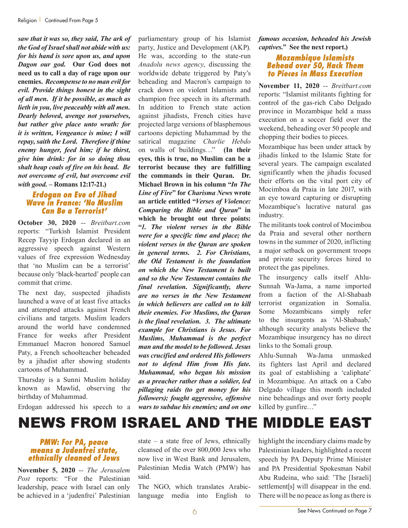*saw that it was so, they said, The ark of the God of Israel shall not abide with us: for his hand is sore upon us, and upon Dagon our god.* **Our God does not need us to call a day of rage upon our enemies.** *Recompense to no man evil for evil. Provide things honest in the sight of all men. If it be possible, as much as lieth in you, live peaceably with all men. Dearly beloved, avenge not yourselves, but rather give place unto wrath: for it is written, Vengeance is mine; I will repay, saith the Lord. Therefore if thine enemy hunger, feed him; if he thirst, give him drink: for in so doing thou shalt heap coals of fire on his head. Be not overcome of evil, but overcome evil with good.* **– Romans 12:17-21.)**

#### *Erdogan on Eve of Jihad Wave in France: 'No Muslim Can Be a Terrorist'*

**October 30, 2020** -- *Breitbart.com* reports: "Turkish Islamist President Recep Tayyip Erdogan declared in an aggressive speech against Western values of free expression Wednesday that 'no Muslim can be a terrorist' because only 'black-hearted' people can commit that crime.

The next day, suspected jihadists launched a wave of at least five attacks and attempted attacks against French civilians and targets. Muslim leaders around the world have condemned France for weeks after President Emmanuel Macron honored Samuel Paty, a French schoolteacher beheaded by a jihadist after showing students cartoons of Muhammad.

Thursday is a Sunni Muslim holiday known as Mawlid, observing the birthday of Muhammad.

He was, according to the state-run *Anadolu news agency*, discussing the worldwide debate triggered by Paty's beheading and Macron's campaign to crack down on violent Islamists and champion free speech in its aftermath. In addition to French state action against jihadists, French cities have projected large versions of blasphemous cartoons depicting Muhammad by the satirical magazine *Charlie Hebdo* on walls of buildings…" **(In their eyes, this is true, no Muslim can be a terrorist because they are fulfilling the commands in their Quran. Dr. Michael Brown in his column "***In The Line of Fire***" for** *Charisma News* **wrote an article entitled "***Verses of Violence: Comparing the Bible and Quran***" in which he brought out three points: "***1. The violent verses in the Bible were for a specific time and place; the violent verses in the Quran are spoken in general terms. 2. For Christians, the Old Testament is the foundation on which the New Testament is built and so the New Testament contains the final revelation. Significantly, there are no verses in the New Testament in which believers are called on to kill their enemies. For Muslims, the Quran is the final revelation. 3. The ultimate example for Christians is Jesus. For Muslims, Muhammad is the perfect man and the model to be followed. Jesus was crucified and ordered His followers not to defend Him from His fate. Muhammad, who began his mission as a preacher rather than a soldier, led pillaging raids (to get money for his followers); fought aggressive, offensive wars to subdue his enemies; and on one* 

parliamentary group of his Islamist party, Justice and Development (AKP). *famous occasion, beheaded his Jewish captives.***" See the next report.)**

#### *Mozambique Islamists Behead over 50, Hack Them to Pieces in Mass Execution*

**November 11, 2020** -- *Breitbart.com* reports: "Islamist militants fighting for control of the gas-rich Cabo Delgado province in Mozambique held a mass execution on a soccer field over the weekend, beheading over 50 people and chopping their bodies to pieces.

Mozambique has been under attack by jihadis linked to the Islamic State for several years. The campaign escalated significantly when the jihadis focused their efforts on the vital port city of Mocimboa da Praia in late 2017, with an eye toward capturing or disrupting Mozambique's lucrative natural gas industry.

The militants took control of Mocimboa da Praia and several other northern towns in the summer of 2020, inflicting a major setback on government troops and private security forces hired to protect the gas pipelines.

The insurgency calls itself Ahlu-Sunnah Wa-Jama, a name imported from a faction of the Al-Shabaab terrorist organization in Somalia. Some Mozambicans simply refer to the insurgents as 'Al-Shabaab,' although security analysts believe the Mozambique insurgency has no direct links to the Somali group.

Ahlu-Sunnah Wa-Jama unmasked its fighters last April and declared its goal of establishing a 'caliphate' in Mozambique. An attack on a Cabo Delgado village this month included nine beheadings and over forty people killed by gunfire…"

Erdogan addressed his speech to a

### NEWS FROM ISRAEL AND THE MIDDLE EAST

#### *PMW: For PA, peace means a Judenfrei state, ethnically cleaned of Jews*

**November 5, 2020** -- *The Jerusalem Post* reports: "For the Palestinian leadership, peace with Israel can only be achieved in a 'judenfrei' Palestinian state – a state free of Jews, ethnically cleansed of the over 800,000 Jews who now live in West Bank and Jerusalem, Palestinian Media Watch (PMW) has said.

The NGO, which translates Arabiclanguage media into English to highlight the incendiary claims made by Palestinian leaders, highlighted a recent speech by PA Deputy Prime Minister and PA Presidential Spokesman Nabil Abu Rudeina, who said: 'The [Israeli] settlement[s] will disappear in the end. There will be no peace as long as there is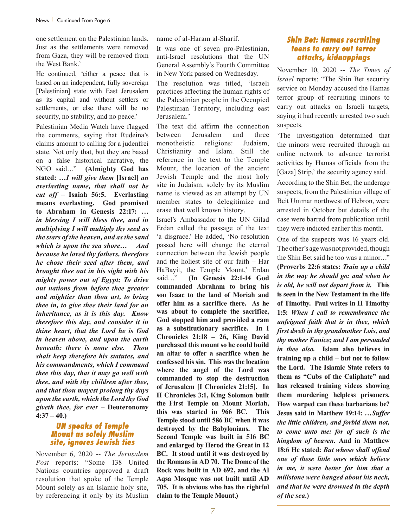one settlement on the Palestinian lands. Just as the settlements were removed from Gaza, they will be removed from the West Bank.'

He continued, 'either a peace that is based on an independent, fully sovereign [Palestinian] state with East Jerusalem as its capital and without settlers or settlements, or else there will be no security, no stability, and no peace.'

Palestinian Media Watch have flagged the comments, saying that Rudeina's claims amount to calling for a judenfrei state. Not only that, but they are based on a false historical narrative, the NGO said…" **(Almighty God has stated: …***I will give them* **[Israel]** *an everlasting name, that shall not be cut off –* **Isaiah 56:5. Everlasting means everlasting. God promised to Abraham in Genesis 22:17:** *… in blessing I will bless thee, and in multiplying I will multiply thy seed as the stars of the heaven, and as the sand which is upon the sea shore…**And because he loved thy fathers, therefore he chose their seed after them, and brought thee out in his sight with his mighty power out of Egypt; To drive out nations from before thee greater and mightier than thou art, to bring thee in, to give thee their land for an inheritance, as it is this day. Know therefore this day, and consider it in thine heart, that the Lord he is God in heaven above, and upon the earth beneath: there is none else. Thou shalt keep therefore his statutes, and his commandments, which I command thee this day, that it may go well with thee, and with thy children after thee, and that thou mayest prolong thy days upon the earth, which the Lord thy God giveth thee, for ever* **– Deuteronomy 4:37 – 40.)**

#### *UN speaks of Temple Mount as solely Muslim site, ignores Jewish ties*

November 6, 2020 -- *The Jerusalem Post* reports: "Some 138 United Nations countries approved a draft resolution that spoke of the Temple Mount solely as an Islamic holy site, by referencing it only by its Muslim name of al-Haram al-Sharif.

It was one of seven pro-Palestinian, anti-Israel resolutions that the UN General Assembly's Fourth Committee in New York passed on Wednesday.

The resolution was titled, 'Israeli practices affecting the human rights of the Palestinian people in the Occupied Palestinian Territory, including east Jerusalem.'

The text did affirm the connection between Jerusalem and three monotheistic religions: Judaism, Christianity and Islam. Still the reference in the text to the Temple Mount, the location of the ancient Jewish Temple and the most holy site in Judaism, solely by its Muslim name is viewed as an attempt by UN member states to delegitimize and erase that well known history.

Israel's Ambassador to the UN Gilad Erdan called the passage of the text 'a disgrace.' He added, 'No resolution passed here will change the eternal connection between the Jewish people and the holiest site of our faith – Har HaBayit, the Temple Mount,' Erdan said…" **(In Genesis 22:1-14 God commanded Abraham to bring his son Isaac to the land of Moriah and offer him as a sacrifice there. As he was about to complete the sacrifice, God stopped him and provided a ram as a substitutionary sacrifice. In I Chronicles 21:18 – 26, King David purchased this mount so he could build an altar to offer a sacrifice when he confessed his sin. This was the location where the angel of the Lord was commanded to stop the destruction of Jerusalem [I Chronicles 21:15]. In II Chronicles 3:1, King Solomon built the First Temple on Mount Moriah, this was started in 966 BC. This Temple stood until 586 BC when it was destroyed by the Babylonians. The Second Temple was built in 516 BC and enlarged by Herod the Great in 12 BC. It stood until it was destroyed by the Romans in AD 70. The Dome of the Rock was built in AD 692, and the Al Aqsa Mosque was not built until AD 705. It is obvious who has the rightful claim to the Temple Mount.)**

#### *Shin Bet: Hamas recruiting teens to carry out terror attacks, kidnappings*

November 10, 2020 -- *The Times of Israel* reports: "The Shin Bet security service on Monday accused the Hamas terror group of recruiting minors to carry out attacks on Israeli targets, saying it had recently arrested two such suspects.

'The investigation determined that the minors were recruited through an online network to advance terrorist activities by Hamas officials from the [Gaza] Strip,' the security agency said.

According to the Shin Bet, the underage suspects, from the Palestinian village of Beit Ummar northwest of Hebron, were arrested in October but details of the case were barred from publication until they were indicted earlier this month.

One of the suspects was 16 years old. The other's age was not provided, though the Shin Bet said he too was a minor…" **(Proverbs 22:6 states:** *Train up a child in the way he should go: and when he is old, he will not depart from it.* **This is seen in the New Testament in the life of Timothy. Paul writes in II Timothy 1:5:** *When I call to remembrance the unfeigned faith that is in thee, which first dwelt in thy grandmother Lois, and thy mother Eunice; and I am persuaded in thee also.* **Islam also believes in training up a child – but not to follow the Lord. The Islamic State refers to them as "Cubs of the Caliphate" and has released training videos showing them murdering helpless prisoners. How warped can these barbarians be? Jesus said in Matthew 19:14:** *…Suffer the little children, and forbid them not, to come unto me: for of such is the kingdom of heaven.* **And in Matthew 18:6 He stated:** *But whoso shall offend one of these little ones which believe in me, it were better for him that a millstone were hanged about his neck, and that he were drowned in the depth of the sea.***)**